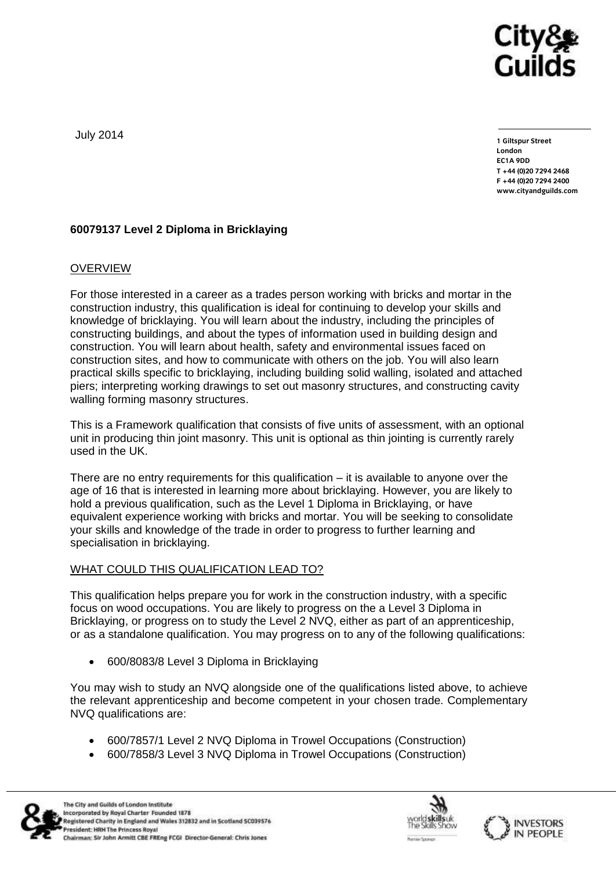

July 2014

**1 Giltspur Street EC1A 9DD**  $T + 44 (0)20 7294 2468$ **T +44 (0)20 7294 246[8](http://www.cityandguilds.com/) F +44 (0)20 7294 2400 [www.cityandguilds.com](http://www.cityandguilds.com/)**

# **60079137 Level 2 Diploma in Bricklaying**

### OVERVIEW

For those interested in a career as a trades person working with bricks and mortar in the construction industry, this qualification is ideal for continuing to develop your skills and knowledge of bricklaying. You will learn about the industry, including the principles of constructing buildings, and about the types of information used in building design and construction. You will learn about health, safety and environmental issues faced on construction sites, and how to communicate with others on the job. You will also learn practical skills specific to bricklaying, including building solid walling, isolated and attached piers; interpreting working drawings to set out masonry structures, and constructing cavity walling forming masonry structures.

This is a Framework qualification that consists of five units of assessment, with an optional unit in producing thin joint masonry. This unit is optional as thin jointing is currently rarely used in the UK.

There are no entry requirements for this qualification  $-$  it is available to anyone over the age of 16 that is interested in learning more about bricklaying. However, you are likely to hold a previous qualification, such as the Level 1 Diploma in Bricklaying, or have equivalent experience working with bricks and mortar. You will be seeking to consolidate your skills and knowledge of the trade in order to progress to further learning and specialisation in bricklaying.

### WHAT COULD THIS QUALIFICATION LEAD TO?

This qualification helps prepare you for work in the construction industry, with a specific focus on wood occupations. You are likely to progress on the a Level 3 Diploma in Bricklaying, or progress on to study the Level 2 NVQ, either as part of an apprenticeship, or as a standalone qualification. You may progress on to any of the following qualifications:

600/8083/8 Level 3 Diploma in Bricklaying

You may wish to study an NVQ alongside one of the qualifications listed above, to achieve the relevant apprenticeship and become competent in your chosen trade. Complementary NVQ qualifications are:

- 600/7857/1 Level 2 NVQ Diploma in Trowel Occupations (Construction)
- 600/7858/3 Level 3 NVQ Diploma in Trowel Occupations (Construction)